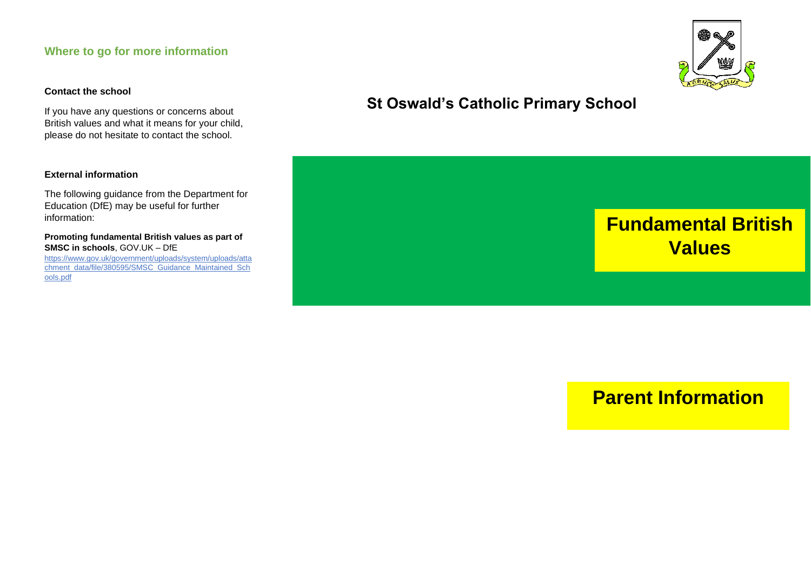### **Where to go for more information**

#### **Contact the school**

If you have any questions or concerns about British values and what it means for your child, please do not hesitate to contact the school.

#### **External information**

The following guidance from the Department for Education (DfE) may be useful for further information:

**Promoting fundamental British values as part of SMSC in schools**, GOV.UK – DfE [https://www.gov.uk/government/uploads/system/uploads/atta](https://www.gov.uk/government/uploads/system/uploads/attachment_data/file/380595/SMSC_Guidance_Maintained_Schools.pdf) [chment\\_data/file/380595/SMSC\\_Guidance\\_Maintained\\_Sch](https://www.gov.uk/government/uploads/system/uploads/attachment_data/file/380595/SMSC_Guidance_Maintained_Schools.pdf) [ools.pdf](https://www.gov.uk/government/uploads/system/uploads/attachment_data/file/380595/SMSC_Guidance_Maintained_Schools.pdf)

## **St Oswald's Catholic Primary School**



# **Parent Information**